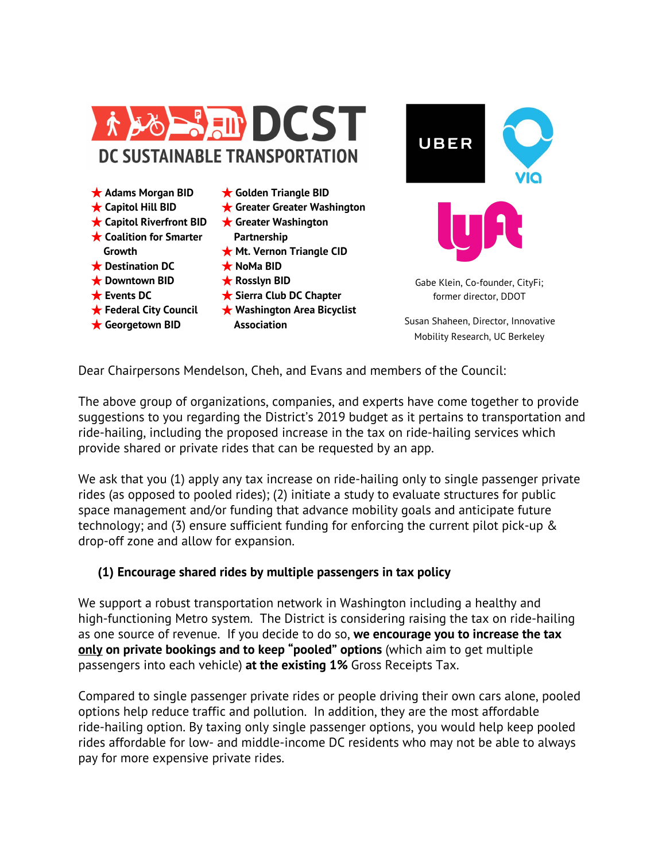

**Association**

★ **Georgetown BID**

former director, DDOT Susan Shaheen, Director, Innovative

Mobility Research, UC Berkeley

Dear Chairpersons Mendelson, Cheh, and Evans and members of the Council:

The above group of organizations, companies, and experts have come together to provide suggestions to you regarding the District's 2019 budget as it pertains to transportation and ride-hailing, including the proposed increase in the tax on ride-hailing services which provide shared or private rides that can be requested by an app.

We ask that you (1) apply any tax increase on ride-hailing only to single passenger private rides (as opposed to pooled rides); (2) initiate a study to evaluate structures for public space management and/or funding that advance mobility goals and anticipate future technology; and (3) ensure sufficient funding for enforcing the current pilot pick-up & drop-off zone and allow for expansion.

## **(1) Encourage shared rides by multiple passengers in tax policy**

We support a robust transportation network in Washington including a healthy and high-functioning Metro system. The District is considering raising the tax on ride-hailing as one source of revenue. If you decide to do so, **we encourage you to increase the tax only on private bookings and to keep "pooled" options** (which aim to get multiple passengers into each vehicle) **at the existing 1%** Gross Receipts Tax.

Compared to single passenger private rides or people driving their own cars alone, pooled options help reduce traffic and pollution. In addition, they are the most affordable ride-hailing option. By taxing only single passenger options, you would help keep pooled rides affordable for low- and middle-income DC residents who may not be able to always pay for more expensive private rides.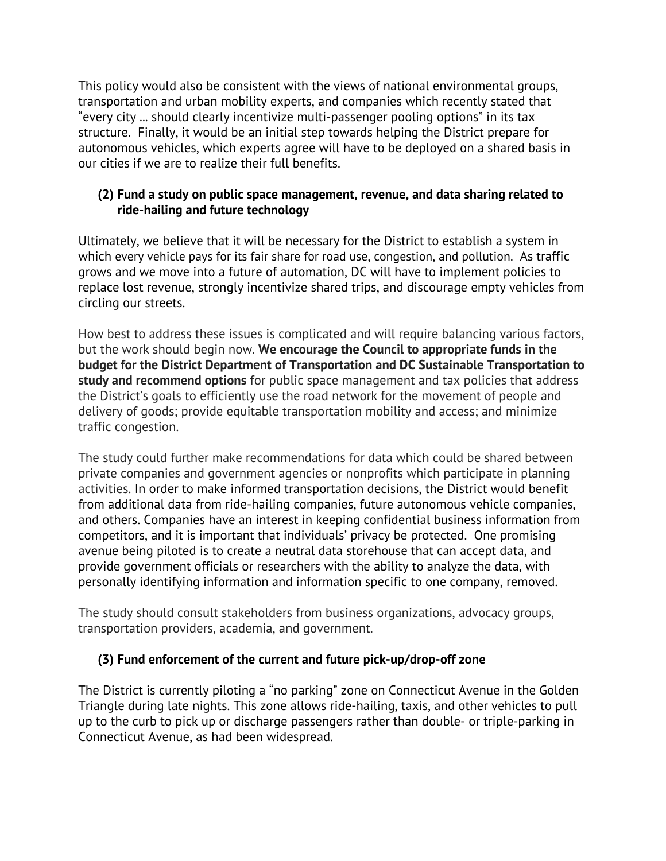This policy would also be consistent with the views of national environmental groups, transportation and urban mobility experts, and companies which recently stated that "every city ... should clearly incentivize multi-passenger pooling options" in its tax structure. Finally, it would be an initial step towards helping the District prepare for autonomous vehicles, which experts agree will have to be deployed on a shared basis in our cities if we are to realize their full benefits.

## **(2) Fund a study on public space management, revenue, and data sharing related to ride-hailing and future technology**

Ultimately, we believe that it will be necessary for the District to establish a system in which every vehicle pays for its fair share for road use, congestion, and pollution. As traffic grows and we move into a future of automation, DC will have to implement policies to replace lost revenue, strongly incentivize shared trips, and discourage empty vehicles from circling our streets.

How best to address these issues is complicated and will require balancing various factors, but the work should begin now. **We encourage the Council to appropriate funds in the budget for the District Department of Transportation and DC Sustainable Transportation to study and recommend options** for public space management and tax policies that address the District's goals to efficiently use the road network for the movement of people and delivery of goods; provide equitable transportation mobility and access; and minimize traffic congestion.

The study could further make recommendations for data which could be shared between private companies and government agencies or nonprofits which participate in planning activities. In order to make informed transportation decisions, the District would benefit from additional data from ride-hailing companies, future autonomous vehicle companies, and others. Companies have an interest in keeping confidential business information from competitors, and it is important that individuals' privacy be protected. One promising avenue being piloted is to create a neutral data storehouse that can accept data, and provide government officials or researchers with the ability to analyze the data, with personally identifying information and information specific to one company, removed.

The study should consult stakeholders from business organizations, advocacy groups, transportation providers, academia, and government.

## **(3) Fund enforcement of the current and future pick-up/drop-off zone**

The District is currently piloting a "no parking" zone on Connecticut Avenue in the Golden Triangle during late nights. This zone allows ride-hailing, taxis, and other vehicles to pull up to the curb to pick up or discharge passengers rather than double- or triple-parking in Connecticut Avenue, as had been widespread.